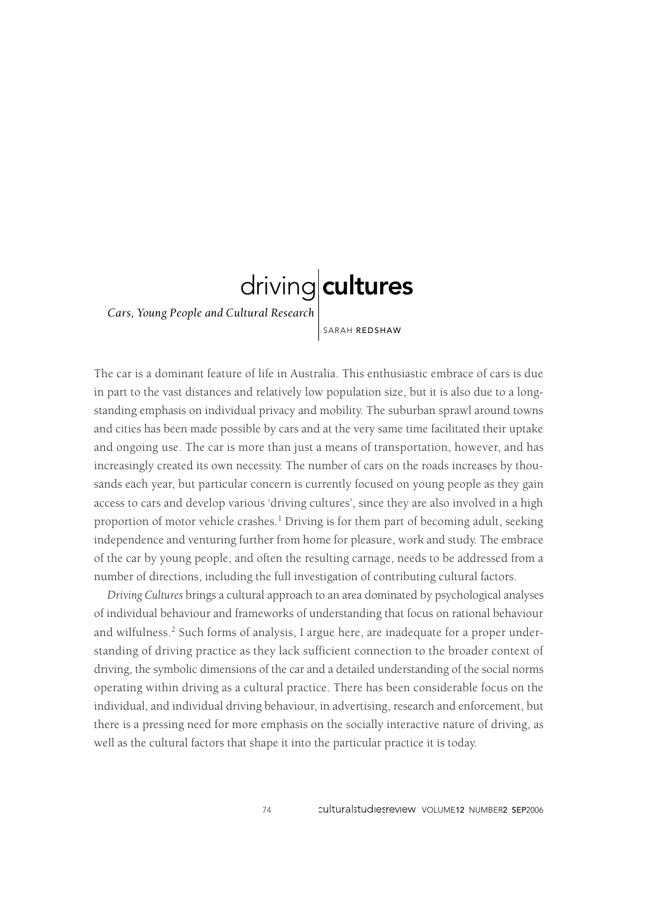# driving **cultures**

*Cars, Young People and Cultural Research*

SARAH **REDSHAW** 

The car is a dominant feature of life in Australia. This enthusiastic embrace of cars is due in part to the vast distances and relatively low population size, but it is also due to a longstanding emphasis on individual privacy and mobility. The suburban sprawl around towns and cities has been made possible by cars and at the very same time facilitated their uptake and ongoing use. The car is more than just a means of transportation, however, and has increasingly created its own necessity. The number of cars on the roads increases by thousands each year, but particular concern is currently focused on young people as they gain access to cars and develop various 'driving cultures', since they are also involved in a high proportion of motor vehicle crashes.<sup>1</sup> Driving is for them part of becoming adult, seeking independence and venturing further from home for pleasure, work and study. The embrace of the car by young people, and often the resulting carnage, needs to be addressed from a number of directions, including the full investigation of contributing cultural factors.

*Driving Cultures* brings a cultural approach to an area dominated by psychological analyses of individual behaviour and frameworks of understanding that focus on rational behaviour and wilfulness.2 Such forms of analysis, I argue here, are inadequate for a proper understanding of driving practice as they lack sufficient connection to the broader context of driving, the symbolic dimensions of the car and a detailed understanding of the social norms operating within driving as a cultural practice. There has been considerable focus on the individual, and individual driving behaviour, in advertising, research and enforcement, but there is a pressing need for more emphasis on the socially interactive nature of driving, as well as the cultural factors that shape it into the particular practice it is today.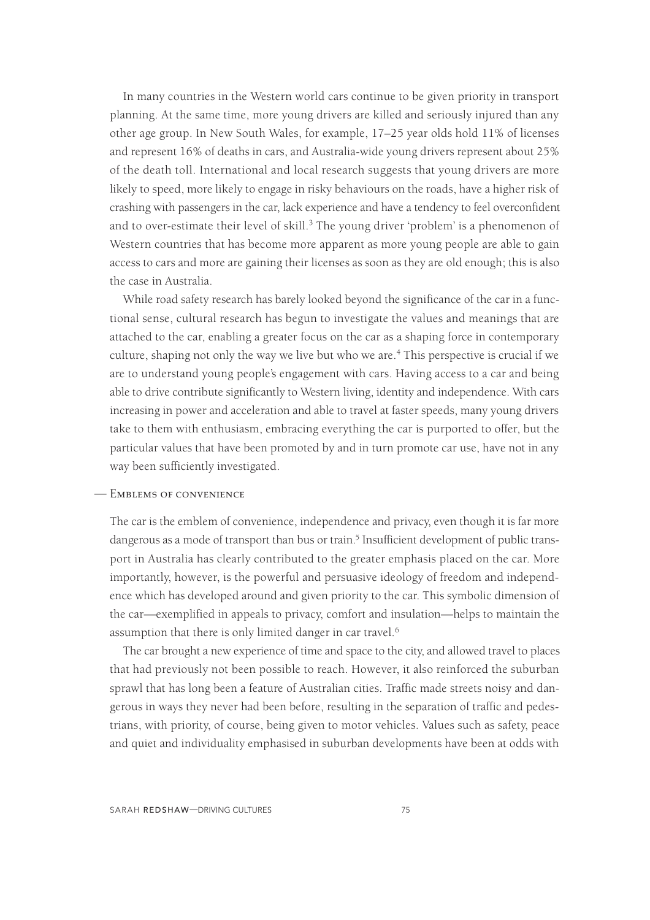In many countries in the Western world cars continue to be given priority in transport planning. At the same time, more young drivers are killed and seriously injured than any other age group. In New South Wales, for example, 17–25 year olds hold 11% of licenses and represent 16% of deaths in cars, and Australia-wide young drivers represent about 25% of the death toll. International and local research suggests that young drivers are more likely to speed, more likely to engage in risky behaviours on the roads, have a higher risk of crashing with passengers in the car, lack experience and have a tendency to feel overconfident and to over-estimate their level of skill.<sup>3</sup> The young driver 'problem' is a phenomenon of Western countries that has become more apparent as more young people are able to gain access to cars and more are gaining their licenses as soon as they are old enough; this is also the case in Australia.

While road safety research has barely looked beyond the significance of the car in a functional sense, cultural research has begun to investigate the values and meanings that are attached to the car, enabling a greater focus on the car as a shaping force in contemporary culture, shaping not only the way we live but who we are.<sup>4</sup> This perspective is crucial if we are to understand young people's engagement with cars. Having access to a car and being able to drive contribute significantly to Western living, identity and independence. With cars increasing in power and acceleration and able to travel at faster speeds, many young drivers take to them with enthusiasm, embracing everything the car is purported to offer, but the particular values that have been promoted by and in turn promote car use, have not in any way been sufficiently investigated.

# — EMBLEMS OF CONVENIENCE

The car is the emblem of convenience, independence and privacy, even though it is far more dangerous as a mode of transport than bus or train.<sup>5</sup> Insufficient development of public transport in Australia has clearly contributed to the greater emphasis placed on the car. More importantly, however, is the powerful and persuasive ideology of freedom and independence which has developed around and given priority to the car. This symbolic dimension of the car—exemplified in appeals to privacy, comfort and insulation—helps to maintain the assumption that there is only limited danger in car travel.<sup>6</sup>

The car brought a new experience of time and space to the city, and allowed travel to places that had previously not been possible to reach. However, it also reinforced the suburban sprawl that has long been a feature of Australian cities. Traffic made streets noisy and dangerous in ways they never had been before, resulting in the separation of traffic and pedestrians, with priority, of course, being given to motor vehicles. Values such as safety, peace and quiet and individuality emphasised in suburban developments have been at odds with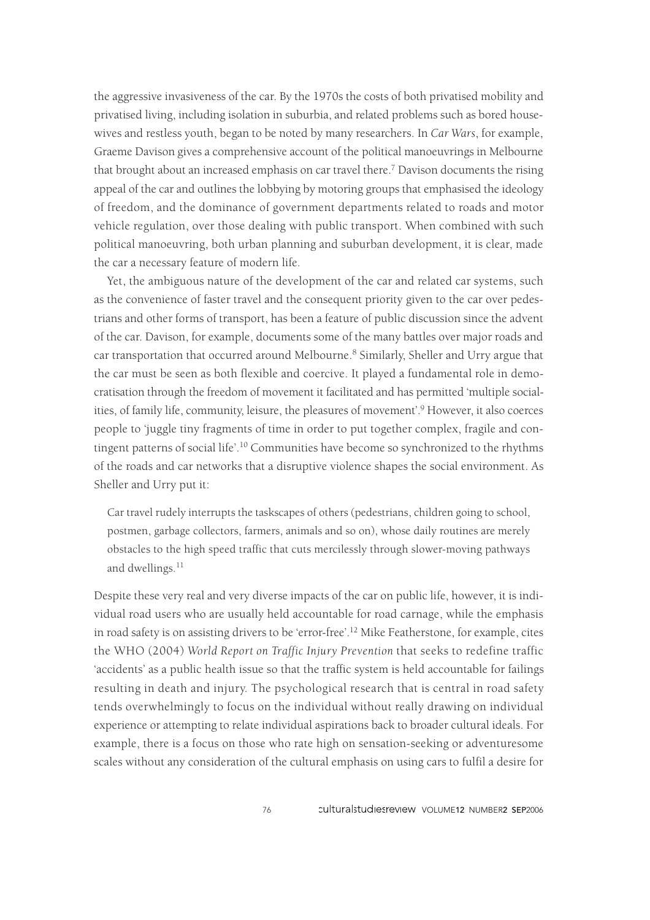the aggressive invasiveness of the car. By the 1970s the costs of both privatised mobility and privatised living, including isolation in suburbia, and related problems such as bored housewives and restless youth, began to be noted by many researchers. In *Car Wars*, for example, Graeme Davison gives a comprehensive account of the political manoeuvrings in Melbourne that brought about an increased emphasis on car travel there.<sup>7</sup> Davison documents the rising appeal of the car and outlines the lobbying by motoring groups that emphasised the ideology of freedom, and the dominance of government departments related to roads and motor vehicle regulation, over those dealing with public transport. When combined with such political manoeuvring, both urban planning and suburban development, it is clear, made the car a necessary feature of modern life.

Yet, the ambiguous nature of the development of the car and related car systems, such as the convenience of faster travel and the consequent priority given to the car over pedestrians and other forms of transport, has been a feature of public discussion since the advent of the car. Davison, for example, documents some of the many battles over major roads and car transportation that occurred around Melbourne.<sup>8</sup> Similarly, Sheller and Urry argue that the car must be seen as both flexible and coercive. It played a fundamental role in democratisation through the freedom of movement it facilitated and has permitted 'multiple socialities, of family life, community, leisure, the pleasures of movement'.9 However, it also coerces people to 'juggle tiny fragments of time in order to put together complex, fragile and contingent patterns of social life'.10 Communities have become so synchronized to the rhythms of the roads and car networks that a disruptive violence shapes the social environment. As Sheller and Urry put it:

Car travel rudely interrupts the taskscapes of others (pedestrians, children going to school, postmen, garbage collectors, farmers, animals and so on), whose daily routines are merely obstacles to the high speed traffic that cuts mercilessly through slower-moving pathways and dwellings.<sup>11</sup>

Despite these very real and very diverse impacts of the car on public life, however, it is individual road users who are usually held accountable for road carnage, while the emphasis in road safety is on assisting drivers to be 'error-free'.12 Mike Featherstone, for example, cites the WHO (2004) *World Report on Traffic Injury Prevention* that seeks to redefine traffic 'accidents' as a public health issue so that the traffic system is held accountable for failings resulting in death and injury. The psychological research that is central in road safety tends overwhelmingly to focus on the individual without really drawing on individual experience or attempting to relate individual aspirations back to broader cultural ideals. For example, there is a focus on those who rate high on sensation-seeking or adventuresome scales without any consideration of the cultural emphasis on using cars to fulfil a desire for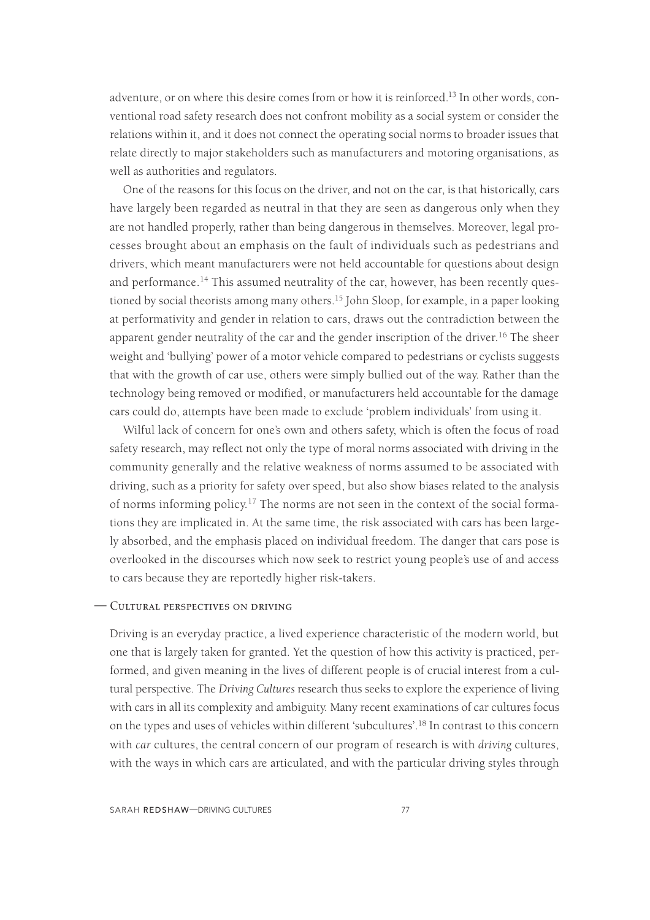adventure, or on where this desire comes from or how it is reinforced.<sup>13</sup> In other words, conventional road safety research does not confront mobility as a social system or consider the relations within it, and it does not connect the operating social norms to broader issues that relate directly to major stakeholders such as manufacturers and motoring organisations, as well as authorities and regulators.

One of the reasons for this focus on the driver, and not on the car, is that historically, cars have largely been regarded as neutral in that they are seen as dangerous only when they are not handled properly, rather than being dangerous in themselves. Moreover, legal processes brought about an emphasis on the fault of individuals such as pedestrians and drivers, which meant manufacturers were not held accountable for questions about design and performance.<sup>14</sup> This assumed neutrality of the car, however, has been recently questioned by social theorists among many others.15 John Sloop, for example, in a paper looking at performativity and gender in relation to cars, draws out the contradiction between the apparent gender neutrality of the car and the gender inscription of the driver.<sup>16</sup> The sheer weight and 'bullying' power of a motor vehicle compared to pedestrians or cyclists suggests that with the growth of car use, others were simply bullied out of the way. Rather than the technology being removed or modified, or manufacturers held accountable for the damage cars could do, attempts have been made to exclude 'problem individuals' from using it.

Wilful lack of concern for one's own and others safety, which is often the focus of road safety research, may reflect not only the type of moral norms associated with driving in the community generally and the relative weakness of norms assumed to be associated with driving, such as a priority for safety over speed, but also show biases related to the analysis of norms informing policy.17 The norms are not seen in the context of the social formations they are implicated in. At the same time, the risk associated with cars has been largely absorbed, and the emphasis placed on individual freedom. The danger that cars pose is overlooked in the discourses which now seek to restrict young people's use of and access to cars because they are reportedly higher risk-takers.

# — Cultural perspectives on driving

Driving is an everyday practice, a lived experience characteristic of the modern world, but one that is largely taken for granted. Yet the question of how this activity is practiced, performed, and given meaning in the lives of different people is of crucial interest from a cultural perspective. The *Driving Cultures* research thus seeks to explore the experience of living with cars in all its complexity and ambiguity. Many recent examinations of car cultures focus on the types and uses of vehicles within different 'subcultures'.18 In contrast to this concern with *car* cultures, the central concern of our program of research is with *driving* cultures, with the ways in which cars are articulated, and with the particular driving styles through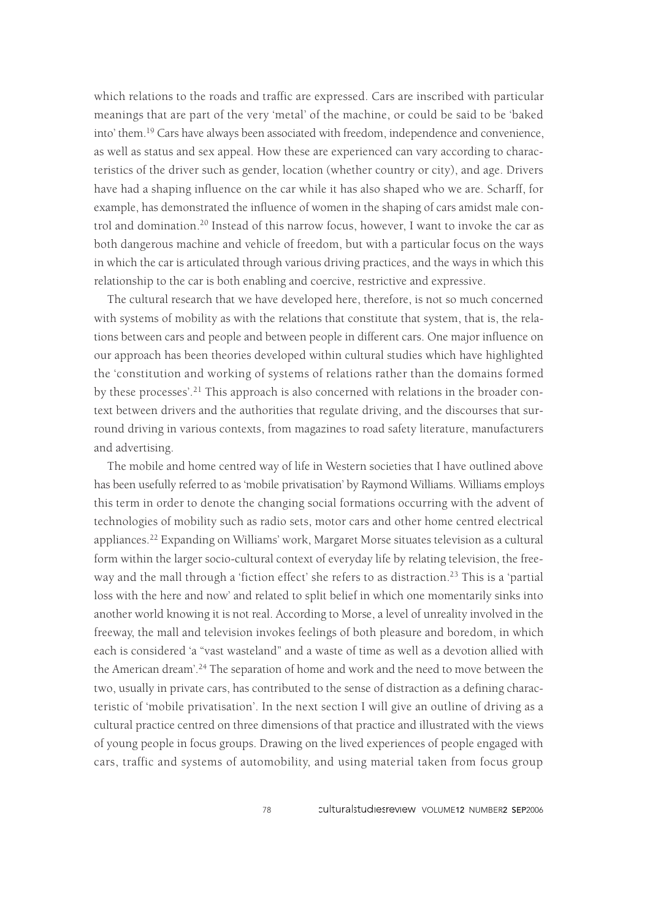which relations to the roads and traffic are expressed. Cars are inscribed with particular meanings that are part of the very 'metal' of the machine, or could be said to be 'baked into' them.19 Cars have always been associated with freedom, independence and convenience, as well as status and sex appeal. How these are experienced can vary according to characteristics of the driver such as gender, location (whether country or city), and age. Drivers have had a shaping influence on the car while it has also shaped who we are. Scharff, for example, has demonstrated the influence of women in the shaping of cars amidst male control and domination.20 Instead of this narrow focus, however, I want to invoke the car as both dangerous machine and vehicle of freedom, but with a particular focus on the ways in which the car is articulated through various driving practices, and the ways in which this relationship to the car is both enabling and coercive, restrictive and expressive.

The cultural research that we have developed here, therefore, is not so much concerned with systems of mobility as with the relations that constitute that system, that is, the relations between cars and people and between people in different cars. One major influence on our approach has been theories developed within cultural studies which have highlighted the 'constitution and working of systems of relations rather than the domains formed by these processes'.21 This approach is also concerned with relations in the broader context between drivers and the authorities that regulate driving, and the discourses that surround driving in various contexts, from magazines to road safety literature, manufacturers and advertising.

The mobile and home centred way of life in Western societies that I have outlined above has been usefully referred to as 'mobile privatisation' by Raymond Williams. Williams employs this term in order to denote the changing social formations occurring with the advent of technologies of mobility such as radio sets, motor cars and other home centred electrical appliances.22 Expanding on Williams' work, Margaret Morse situates television as a cultural form within the larger socio-cultural context of everyday life by relating television, the freeway and the mall through a 'fiction effect' she refers to as distraction.<sup>23</sup> This is a 'partial loss with the here and now' and related to split belief in which one momentarily sinks into another world knowing it is not real. According to Morse, a level of unreality involved in the freeway, the mall and television invokes feelings of both pleasure and boredom, in which each is considered 'a "vast wasteland" and a waste of time as well as a devotion allied with the American dream'.<sup>24</sup> The separation of home and work and the need to move between the two, usually in private cars, has contributed to the sense of distraction as a defining characteristic of 'mobile privatisation'. In the next section I will give an outline of driving as a cultural practice centred on three dimensions of that practice and illustrated with the views of young people in focus groups. Drawing on the lived experiences of people engaged with cars, traffic and systems of automobility, and using material taken from focus group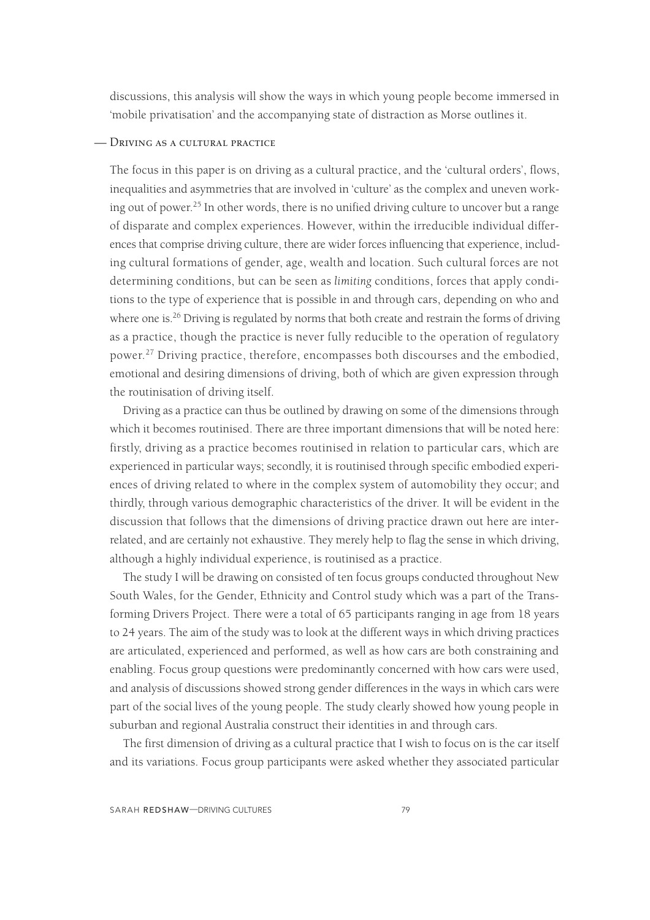discussions, this analysis will show the ways in which young people become immersed in 'mobile privatisation' and the accompanying state of distraction as Morse outlines it.

## Driving as a cultural practice —

The focus in this paper is on driving as a cultural practice, and the 'cultural orders', flows, inequalities and asymmetries that are involved in 'culture' as the complex and uneven working out of power.25 In other words, there is no unified driving culture to uncover but a range of disparate and complex experiences. However, within the irreducible individual differences that comprise driving culture, there are wider forces influencing that experience, including cultural formations of gender, age, wealth and location. Such cultural forces are not determining conditions, but can be seen as *limiting* conditions, forces that apply conditions to the type of experience that is possible in and through cars, depending on who and where one is.<sup>26</sup> Driving is regulated by norms that both create and restrain the forms of driving as a practice, though the practice is never fully reducible to the operation of regulatory power.27 Driving practice, therefore, encompasses both discourses and the embodied, emotional and desiring dimensions of driving, both of which are given expression through the routinisation of driving itself.

Driving as a practice can thus be outlined by drawing on some of the dimensions through which it becomes routinised. There are three important dimensions that will be noted here: firstly, driving as a practice becomes routinised in relation to particular cars, which are experienced in particular ways; secondly, it is routinised through specific embodied experiences of driving related to where in the complex system of automobility they occur; and thirdly, through various demographic characteristics of the driver. It will be evident in the discussion that follows that the dimensions of driving practice drawn out here are interrelated, and are certainly not exhaustive. They merely help to flag the sense in which driving, although a highly individual experience, is routinised as a practice.

The study I will be drawing on consisted of ten focus groups conducted throughout New South Wales, for the Gender, Ethnicity and Control study which was a part of the Transforming Drivers Project. There were a total of 65 participants ranging in age from 18 years to 24 years. The aim of the study was to look at the different ways in which driving practices are articulated, experienced and performed, as well as how cars are both constraining and enabling. Focus group questions were predominantly concerned with how cars were used, and analysis of discussions showed strong gender differences in the ways in which cars were part of the social lives of the young people. The study clearly showed how young people in suburban and regional Australia construct their identities in and through cars.

The first dimension of driving as a cultural practice that I wish to focus on is the car itself and its variations. Focus group participants were asked whether they associated particular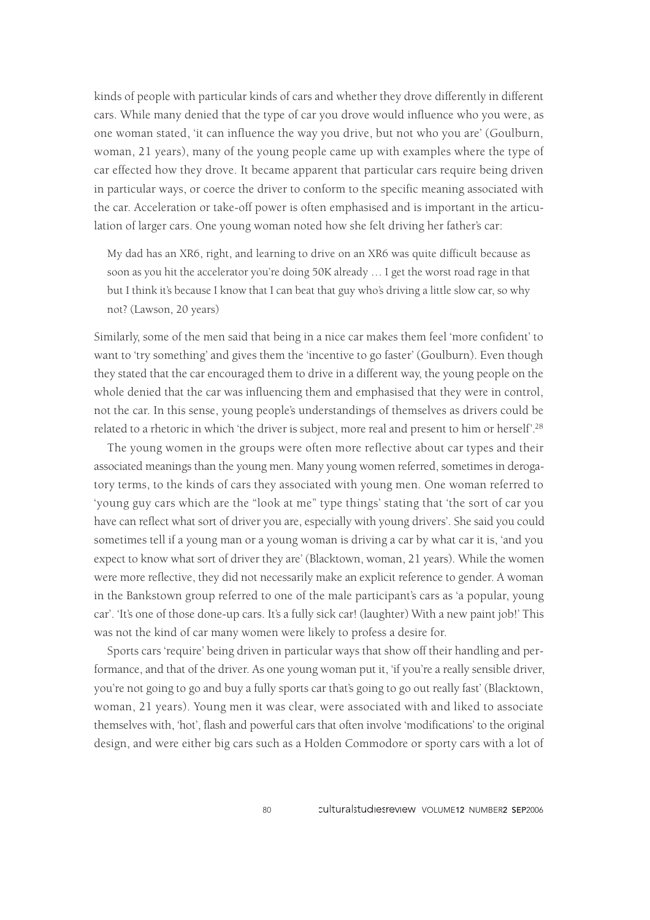kinds of people with particular kinds of cars and whether they drove differently in different cars. While many denied that the type of car you drove would influence who you were, as one woman stated, 'it can influence the way you drive, but not who you are' (Goulburn, woman, 21 years), many of the young people came up with examples where the type of car effected how they drove. It became apparent that particular cars require being driven in particular ways, or coerce the driver to conform to the specific meaning associated with the car. Acceleration or take-off power is often emphasised and is important in the articulation of larger cars. One young woman noted how she felt driving her father's car:

My dad has an XR6, right, and learning to drive on an XR6 was quite difficult because as soon as you hit the accelerator you're doing 50K already … I get the worst road rage in that but I think it's because I know that I can beat that guy who's driving a little slow car, so why not? (Lawson, 20 years)

Similarly, some of the men said that being in a nice car makes them feel 'more confident' to want to 'try something' and gives them the 'incentive to go faster' (Goulburn). Even though they stated that the car encouraged them to drive in a different way, the young people on the whole denied that the car was influencing them and emphasised that they were in control, not the car. In this sense, young people's understandings of themselves as drivers could be related to a rhetoric in which 'the driver is subject, more real and present to him or herself'.28

The young women in the groups were often more reflective about car types and their associated meanings than the young men. Many young women referred, sometimes in derogatory terms, to the kinds of cars they associated with young men. One woman referred to 'young guy cars which are the "look at me" type things' stating that 'the sort of car you have can reflect what sort of driver you are, especially with young drivers'. She said you could sometimes tell if a young man or a young woman is driving a car by what car it is, 'and you expect to know what sort of driver they are' (Blacktown, woman, 21 years). While the women were more reflective, they did not necessarily make an explicit reference to gender. A woman in the Bankstown group referred to one of the male participant's cars as 'a popular, young car'. 'It's one of those done-up cars. It's a fully sick car! (laughter) With a new paint job!' This was not the kind of car many women were likely to profess a desire for.

Sports cars 'require' being driven in particular ways that show off their handling and performance, and that of the driver. As one young woman put it, 'if you're a really sensible driver, you're not going to go and buy a fully sports car that's going to go out really fast' (Blacktown, woman, 21 years). Young men it was clear, were associated with and liked to associate themselves with, 'hot', flash and powerful cars that often involve 'modifications' to the original design, and were either big cars such as a Holden Commodore or sporty cars with a lot of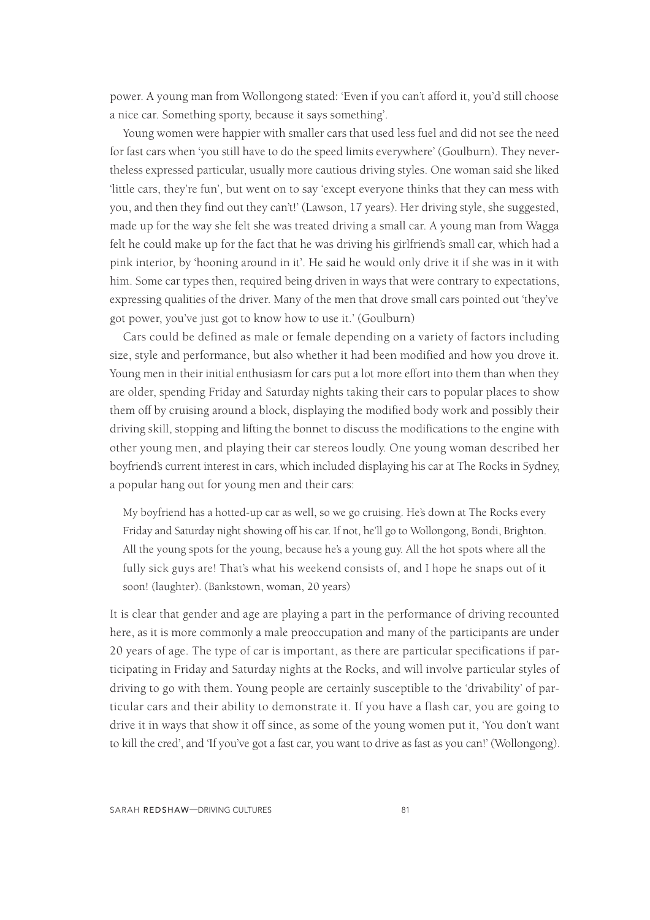power. A young man from Wollongong stated: 'Even if you can't afford it, you'd still choose a nice car. Something sporty, because it says something'.

Young women were happier with smaller cars that used less fuel and did not see the need for fast cars when 'you still have to do the speed limits everywhere' (Goulburn). They nevertheless expressed particular, usually more cautious driving styles. One woman said she liked 'little cars, they're fun', but went on to say 'except everyone thinks that they can mess with you, and then they find out they can't!' (Lawson, 17 years). Her driving style, she suggested, made up for the way she felt she was treated driving a small car. A young man from Wagga felt he could make up for the fact that he was driving his girlfriend's small car, which had a pink interior, by 'hooning around in it'. He said he would only drive it if she was in it with him. Some car types then, required being driven in ways that were contrary to expectations, expressing qualities of the driver. Many of the men that drove small cars pointed out 'they've got power, you've just got to know how to use it.' (Goulburn)

Cars could be defined as male or female depending on a variety of factors including size, style and performance, but also whether it had been modified and how you drove it. Young men in their initial enthusiasm for cars put a lot more effort into them than when they are older, spending Friday and Saturday nights taking their cars to popular places to show them off by cruising around a block, displaying the modified body work and possibly their driving skill, stopping and lifting the bonnet to discuss the modifications to the engine with other young men, and playing their car stereos loudly. One young woman described her boyfriend's current interest in cars, which included displaying his car at The Rocks in Sydney, a popular hang out for young men and their cars:

My boyfriend has a hotted-up car as well, so we go cruising. He's down at The Rocks every Friday and Saturday night showing off his car. If not, he'll go to Wollongong, Bondi, Brighton. All the young spots for the young, because he's a young guy. All the hot spots where all the fully sick guys are! That's what his weekend consists of, and I hope he snaps out of it soon! (laughter). (Bankstown, woman, 20 years)

It is clear that gender and age are playing a part in the performance of driving recounted here, as it is more commonly a male preoccupation and many of the participants are under 20 years of age. The type of car is important, as there are particular specifications if participating in Friday and Saturday nights at the Rocks, and will involve particular styles of driving to go with them. Young people are certainly susceptible to the 'drivability' of particular cars and their ability to demonstrate it. If you have a flash car, you are going to drive it in ways that show it off since, as some of the young women put it, 'You don't want to kill the cred', and 'If you've got a fast car, you want to drive as fast as you can!' (Wollongong).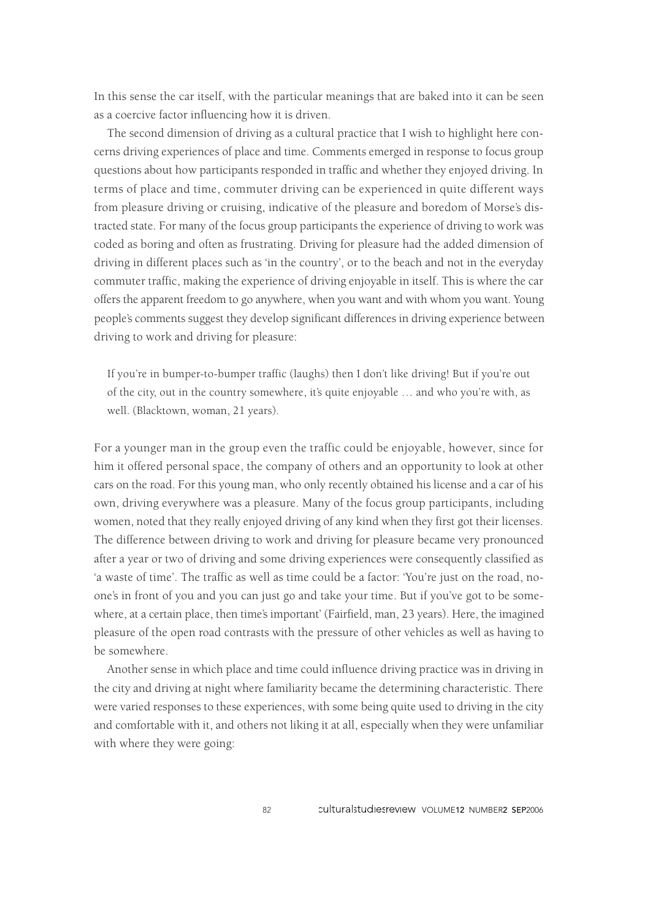In this sense the car itself, with the particular meanings that are baked into it can be seen as a coercive factor influencing how it is driven.

The second dimension of driving as a cultural practice that I wish to highlight here concerns driving experiences of place and time. Comments emerged in response to focus group questions about how participants responded in traffic and whether they enjoyed driving. In terms of place and time, commuter driving can be experienced in quite different ways from pleasure driving or cruising, indicative of the pleasure and boredom of Morse's distracted state. For many of the focus group participants the experience of driving to work was coded as boring and often as frustrating. Driving for pleasure had the added dimension of driving in different places such as 'in the country', or to the beach and not in the everyday commuter traffic, making the experience of driving enjoyable in itself. This is where the car offers the apparent freedom to go anywhere, when you want and with whom you want. Young people's comments suggest they develop significant differences in driving experience between driving to work and driving for pleasure:

If you're in bumper-to-bumper traffic (laughs) then I don't like driving! But if you're out of the city, out in the country somewhere, it's quite enjoyable … and who you're with, as well. (Blacktown, woman, 21 years).

For a younger man in the group even the traffic could be enjoyable, however, since for him it offered personal space, the company of others and an opportunity to look at other cars on the road. For this young man, who only recently obtained his license and a car of his own, driving everywhere was a pleasure. Many of the focus group participants, including women, noted that they really enjoyed driving of any kind when they first got their licenses. The difference between driving to work and driving for pleasure became very pronounced after a year or two of driving and some driving experiences were consequently classified as 'a waste of time'. The traffic as well as time could be a factor: 'You're just on the road, noone's in front of you and you can just go and take your time. But if you've got to be somewhere, at a certain place, then time's important' (Fairfield, man, 23 years). Here, the imagined pleasure of the open road contrasts with the pressure of other vehicles as well as having to be somewhere.

Another sense in which place and time could influence driving practice was in driving in the city and driving at night where familiarity became the determining characteristic. There were varied responses to these experiences, with some being quite used to driving in the city and comfortable with it, and others not liking it at all, especially when they were unfamiliar with where they were going: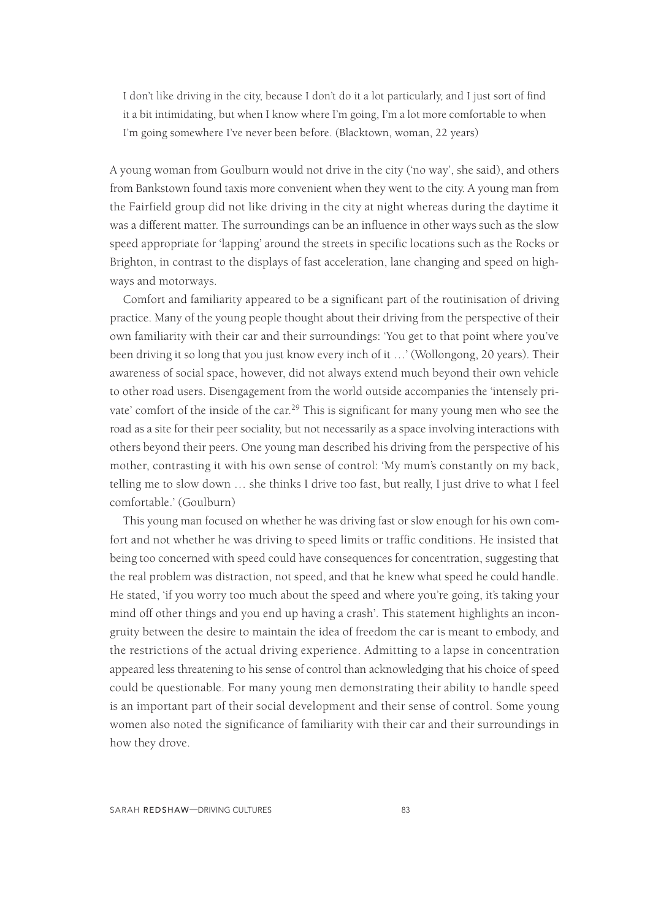I don't like driving in the city, because I don't do it a lot particularly, and I just sort of find it a bit intimidating, but when I know where I'm going, I'm a lot more comfortable to when I'm going somewhere I've never been before. (Blacktown, woman, 22 years)

A young woman from Goulburn would not drive in the city ('no way', she said), and others from Bankstown found taxis more convenient when they went to the city. A young man from the Fairfield group did not like driving in the city at night whereas during the daytime it was a different matter. The surroundings can be an influence in other ways such as the slow speed appropriate for 'lapping' around the streets in specific locations such as the Rocks or Brighton, in contrast to the displays of fast acceleration, lane changing and speed on highways and motorways.

Comfort and familiarity appeared to be a significant part of the routinisation of driving practice. Many of the young people thought about their driving from the perspective of their own familiarity with their car and their surroundings: 'You get to that point where you've been driving it so long that you just know every inch of it …' (Wollongong, 20 years). Their awareness of social space, however, did not always extend much beyond their own vehicle to other road users. Disengagement from the world outside accompanies the 'intensely private' comfort of the inside of the car.<sup>29</sup> This is significant for many young men who see the road as a site for their peer sociality, but not necessarily as a space involving interactions with others beyond their peers. One young man described his driving from the perspective of his mother, contrasting it with his own sense of control: 'My mum's constantly on my back, telling me to slow down … she thinks I drive too fast, but really, I just drive to what I feel comfortable.' (Goulburn)

This young man focused on whether he was driving fast or slow enough for his own comfort and not whether he was driving to speed limits or traffic conditions. He insisted that being too concerned with speed could have consequences for concentration, suggesting that the real problem was distraction, not speed, and that he knew what speed he could handle. He stated, 'if you worry too much about the speed and where you're going, it's taking your mind off other things and you end up having a crash'. This statement highlights an incongruity between the desire to maintain the idea of freedom the car is meant to embody, and the restrictions of the actual driving experience. Admitting to a lapse in concentration appeared less threatening to his sense of control than acknowledging that his choice of speed could be questionable. For many young men demonstrating their ability to handle speed is an important part of their social development and their sense of control. Some young women also noted the significance of familiarity with their car and their surroundings in how they drove.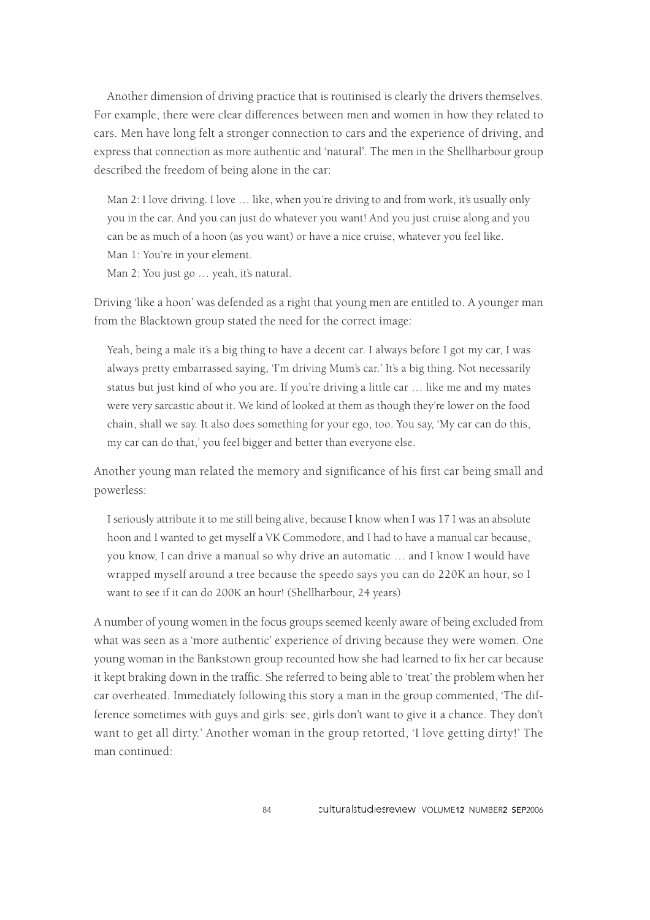Another dimension of driving practice that is routinised is clearly the drivers themselves. For example, there were clear differences between men and women in how they related to cars. Men have long felt a stronger connection to cars and the experience of driving, and express that connection as more authentic and 'natural'. The men in the Shellharbour group described the freedom of being alone in the car:

Man 2: I love driving. I love ... like, when you're driving to and from work, it's usually only you in the car. And you can just do whatever you want! And you just cruise along and you can be as much of a hoon (as you want) or have a nice cruise, whatever you feel like. Man 1: You're in your element. Man 2: You just go … yeah, it's natural.

Driving 'like a hoon' was defended as a right that young men are entitled to. A younger man from the Blacktown group stated the need for the correct image:

Yeah, being a male it's a big thing to have a decent car. I always before I got my car, I was always pretty embarrassed saying, 'I'm driving Mum's car.' It's a big thing. Not necessarily status but just kind of who you are. If you're driving a little car … like me and my mates were very sarcastic about it. We kind of looked at them as though they're lower on the food chain, shall we say. It also does something for your ego, too. You say, 'My car can do this, my car can do that,' you feel bigger and better than everyone else.

Another young man related the memory and significance of his first car being small and powerless:

I seriously attribute it to me still being alive, because I know when I was 17 I was an absolute hoon and I wanted to get myself a VK Commodore, and I had to have a manual car because, you know, I can drive a manual so why drive an automatic … and I know I would have wrapped myself around a tree because the speedo says you can do 220K an hour, so I want to see if it can do 200K an hour! (Shellharbour, 24 years)

A number of young women in the focus groups seemed keenly aware of being excluded from what was seen as a 'more authentic' experience of driving because they were women. One young woman in the Bankstown group recounted how she had learned to fix her car because it kept braking down in the traffic. She referred to being able to 'treat' the problem when her car overheated. Immediately following this story a man in the group commented, 'The difference sometimes with guys and girls: see, girls don't want to give it a chance. They don't want to get all dirty.' Another woman in the group retorted, 'I love getting dirty!' The man continued: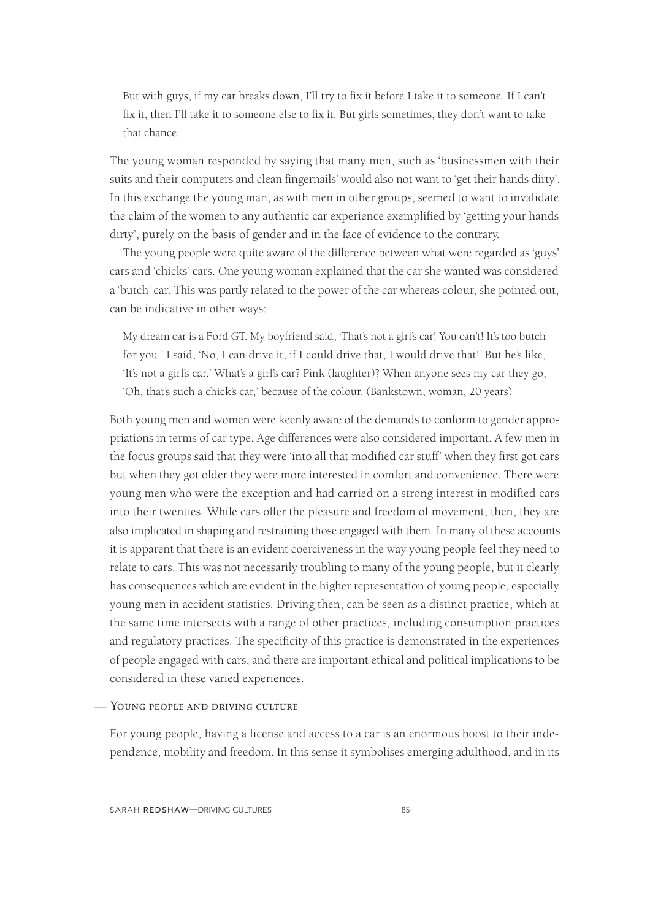But with guys, if my car breaks down, I'll try to fix it before I take it to someone. If I can't fix it, then I'll take it to someone else to fix it. But girls sometimes, they don't want to take that chance.

The young woman responded by saying that many men, such as 'businessmen with their suits and their computers and clean fingernails' would also not want to 'get their hands dirty'. In this exchange the young man, as with men in other groups, seemed to want to invalidate the claim of the women to any authentic car experience exemplified by 'getting your hands dirty', purely on the basis of gender and in the face of evidence to the contrary.

The young people were quite aware of the difference between what were regarded as 'guys' cars and 'chicks' cars. One young woman explained that the car she wanted was considered a 'butch' car. This was partly related to the power of the car whereas colour, she pointed out, can be indicative in other ways:

My dream car is a Ford GT. My boyfriend said, 'That's not a girl's car! You can't! It's too butch for you.' I said, 'No, I can drive it, if I could drive that, I would drive that!' But he's like, 'It's not a girl's car.' What's a girl's car? Pink (laughter)? When anyone sees my car they go, 'Oh, that's such a chick's car,' because of the colour. (Bankstown, woman, 20 years)

Both young men and women were keenly aware of the demands to conform to gender appropriations in terms of car type. Age differences were also considered important. A few men in the focus groups said that they were 'into all that modified car stuff' when they first got cars but when they got older they were more interested in comfort and convenience. There were young men who were the exception and had carried on a strong interest in modified cars into their twenties. While cars offer the pleasure and freedom of movement, then, they are also implicated in shaping and restraining those engaged with them. In many of these accounts it is apparent that there is an evident coerciveness in the way young people feel they need to relate to cars. This was not necessarily troubling to many of the young people, but it clearly has consequences which are evident in the higher representation of young people, especially young men in accident statistics. Driving then, can be seen as a distinct practice, which at the same time intersects with a range of other practices, including consumption practices and regulatory practices. The specificity of this practice is demonstrated in the experiences of people engaged with cars, and there are important ethical and political implications to be considered in these varied experiences.

## Young people and driving culture —

For young people, having a license and access to a car is an enormous boost to their independence, mobility and freedom. In this sense it symbolises emerging adulthood, and in its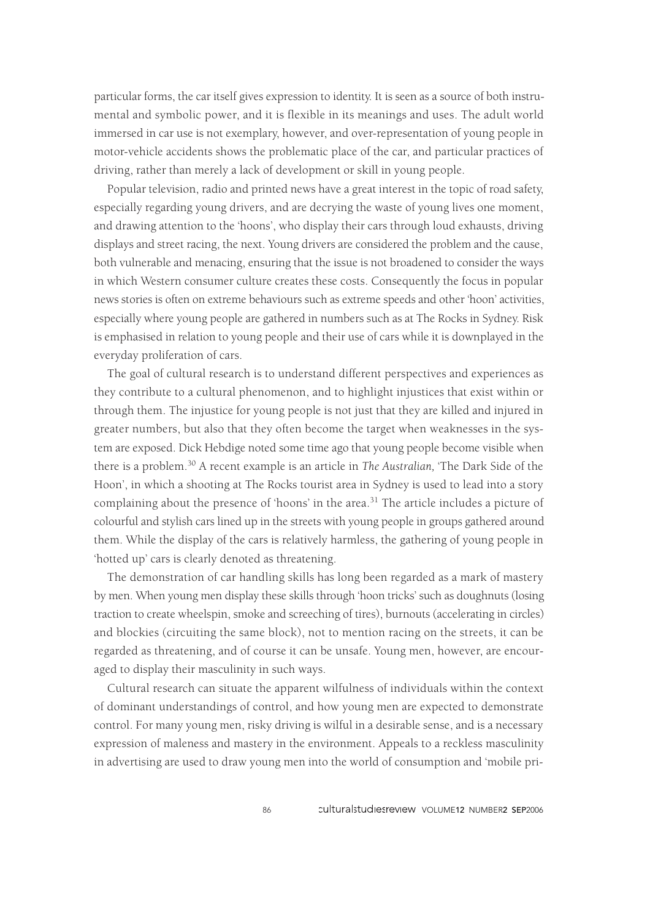particular forms, the car itself gives expression to identity. It is seen as a source of both instrumental and symbolic power, and it is flexible in its meanings and uses. The adult world immersed in car use is not exemplary, however, and over-representation of young people in motor-vehicle accidents shows the problematic place of the car, and particular practices of driving, rather than merely a lack of development or skill in young people.

Popular television, radio and printed news have a great interest in the topic of road safety, especially regarding young drivers, and are decrying the waste of young lives one moment, and drawing attention to the 'hoons', who display their cars through loud exhausts, driving displays and street racing, the next. Young drivers are considered the problem and the cause, both vulnerable and menacing, ensuring that the issue is not broadened to consider the ways in which Western consumer culture creates these costs. Consequently the focus in popular news stories is often on extreme behaviours such as extreme speeds and other 'hoon' activities, especially where young people are gathered in numbers such as at The Rocks in Sydney. Risk is emphasised in relation to young people and their use of cars while it is downplayed in the everyday proliferation of cars.

The goal of cultural research is to understand different perspectives and experiences as they contribute to a cultural phenomenon, and to highlight injustices that exist within or through them. The injustice for young people is not just that they are killed and injured in greater numbers, but also that they often become the target when weaknesses in the system are exposed. Dick Hebdige noted some time ago that young people become visible when there is a problem.30 A recent example is an article in *The Australian,* 'The Dark Side of the Hoon', in which a shooting at The Rocks tourist area in Sydney is used to lead into a story complaining about the presence of 'hoons' in the area.<sup>31</sup> The article includes a picture of colourful and stylish cars lined up in the streets with young people in groups gathered around them. While the display of the cars is relatively harmless, the gathering of young people in 'hotted up' cars is clearly denoted as threatening.

The demonstration of car handling skills has long been regarded as a mark of mastery by men. When young men display these skills through 'hoon tricks' such as doughnuts (losing traction to create wheelspin, smoke and screeching of tires), burnouts (accelerating in circles) and blockies (circuiting the same block), not to mention racing on the streets, it can be regarded as threatening, and of course it can be unsafe. Young men, however, are encouraged to display their masculinity in such ways.

Cultural research can situate the apparent wilfulness of individuals within the context of dominant understandings of control, and how young men are expected to demonstrate control. For many young men, risky driving is wilful in a desirable sense, and is a necessary expression of maleness and mastery in the environment. Appeals to a reckless masculinity in advertising are used to draw young men into the world of consumption and 'mobile pri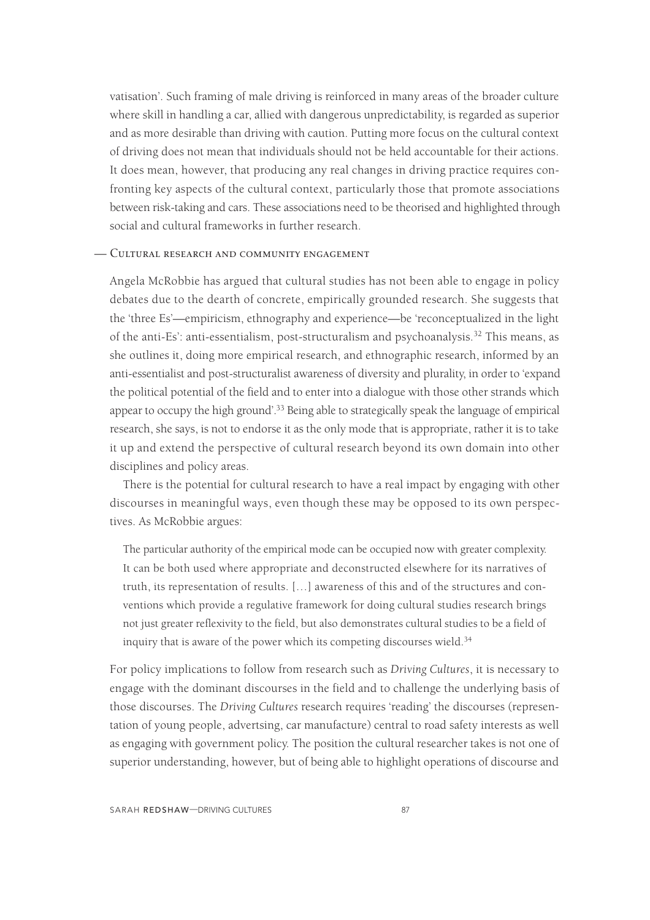vatisation'. Such framing of male driving is reinforced in many areas of the broader culture where skill in handling a car, allied with dangerous unpredictability, is regarded as superior and as more desirable than driving with caution. Putting more focus on the cultural context of driving does not mean that individuals should not be held accountable for their actions. It does mean, however, that producing any real changes in driving practice requires confronting key aspects of the cultural context, particularly those that promote associations between risk-taking and cars. These associations need to be theorised and highlighted through social and cultural frameworks in further research.

#### — Cultural research and community engagement

Angela McRobbie has argued that cultural studies has not been able to engage in policy debates due to the dearth of concrete, empirically grounded research. She suggests that the 'three Es'—empiricism, ethnography and experience—be 'reconceptualized in the light of the anti-Es': anti-essentialism, post-structuralism and psychoanalysis.32 This means, as she outlines it, doing more empirical research, and ethnographic research, informed by an anti-essentialist and post-structuralist awareness of diversity and plurality, in order to 'expand the political potential of the field and to enter into a dialogue with those other strands which appear to occupy the high ground'.33 Being able to strategically speak the language of empirical research, she says, is not to endorse it as the only mode that is appropriate, rather it is to take it up and extend the perspective of cultural research beyond its own domain into other disciplines and policy areas.

There is the potential for cultural research to have a real impact by engaging with other discourses in meaningful ways, even though these may be opposed to its own perspectives. As McRobbie argues:

The particular authority of the empirical mode can be occupied now with greater complexity. It can be both used where appropriate and deconstructed elsewhere for its narratives of truth, its representation of results. […] awareness of this and of the structures and conventions which provide a regulative framework for doing cultural studies research brings not just greater reflexivity to the field, but also demonstrates cultural studies to be a field of inquiry that is aware of the power which its competing discourses wield.<sup>34</sup>

For policy implications to follow from research such as *Driving Cultures*, it is necessary to engage with the dominant discourses in the field and to challenge the underlying basis of those discourses. The *Driving Cultures* research requires 'reading' the discourses (representation of young people, advertsing, car manufacture) central to road safety interests as well as engaging with government policy. The position the cultural researcher takes is not one of superior understanding, however, but of being able to highlight operations of discourse and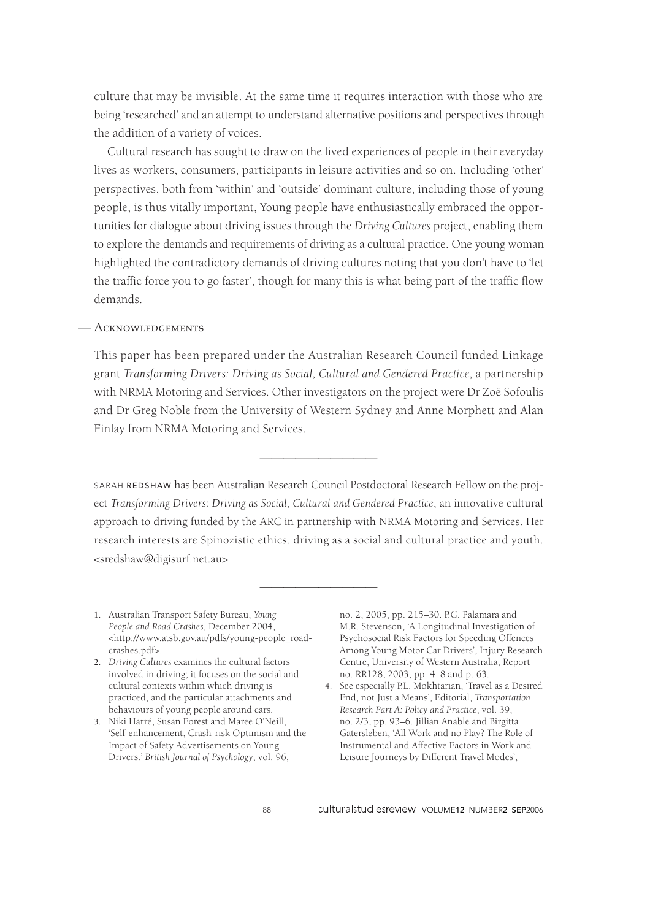culture that may be invisible. At the same time it requires interaction with those who are being 'researched' and an attempt to understand alternative positions and perspectives through the addition of a variety of voices.

Cultural research has sought to draw on the lived experiences of people in their everyday lives as workers, consumers, participants in leisure activities and so on. Including 'other' perspectives, both from 'within' and 'outside' dominant culture, including those of young people, is thus vitally important, Young people have enthusiastically embraced the opportunities for dialogue about driving issues through the *Driving Cultures* project, enabling them to explore the demands and requirements of driving as a cultural practice. One young woman highlighted the contradictory demands of driving cultures noting that you don't have to 'let the traffic force you to go faster', though for many this is what being part of the traffic flow demands.

#### — Acknowledgements

This paper has been prepared under the Australian Research Council funded Linkage grant *Transforming Drivers: Driving as Social, Cultural and Gendered Practice*, a partnership with NRMA Motoring and Services. Other investigators on the project were Dr Zoë Sofoulis and Dr Greg Noble from the University of Western Sydney and Anne Morphett and Alan Finlay from NRMA Motoring and Services.

————————————————————

SARAH REDSHAW has been Australian Research Council Postdoctoral Research Fellow on the project *Transforming Drivers: Driving as Social, Cultural and Gendered Practice*, an innovative cultural approach to driving funded by the ARC in partnership with NRMA Motoring and Services. Her research interests are Spinozistic ethics, driving as a social and cultural practice and youth. <sredshaw@digisurf.net.au>

————————————————————

no. 2, 2005, pp. 215–30. P.G. Palamara and M.R. Stevenson, 'A Longitudinal Investigation of Psychosocial Risk Factors for Speeding Offences Among Young Motor Car Drivers', Injury Research Centre, University of Western Australia, Report no. RR128, 2003, pp. 4–8 and p. 63.

<sup>1.</sup> Australian Transport Safety Bureau, *Young People and Road Crashes*, December 2004, <http://www.atsb.gov.au/pdfs/young-people\_roadcrashes.pdf>.

<sup>2.</sup> *Driving Cultures* examines the cultural factors involved in driving; it focuses on the social and cultural contexts within which driving is practiced, and the particular attachments and behaviours of young people around cars.

<sup>3.</sup> Niki Harré, Susan Forest and Maree O'Neill, 'Self-enhancement, Crash-risk Optimism and the Impact of Safety Advertisements on Young Drivers.' *British Journal of Psychology*, vol. 96,

<sup>4.</sup> See especially P.L. Mokhtarian, 'Travel as a Desired End, not Just a Means', Editorial, *Transportation Research Part A: Policy and Practice*, vol. 39, no. 2/3, pp. 93–6. Jillian Anable and Birgitta Gatersleben, 'All Work and no Play? The Role of Instrumental and Affective Factors in Work and Leisure Journeys by Different Travel Modes',